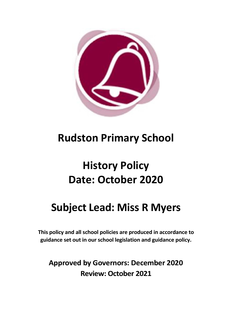

# **Rudston Primary School**

# **History Policy Date: October 2020**

# **Subject Lead: Miss R Myers**

**This policy and all school policies are produced in accordance to guidance set out in our school legislation and guidance policy.**

**Approved by Governors: December 2020 Review: October 2021**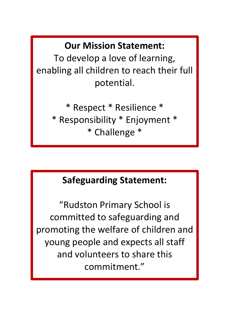**Our Mission Statement:**

To develop a love of learning, enabling all children to reach their full potential.

> \* Respect \* Resilience \* \* Responsibility \* Enjoyment \* \* Challenge \*

# **Safeguarding Statement:**

"Rudston Primary School is committed to safeguarding and promoting the welfare of children and young people and expects all staff and volunteers to share this commitment."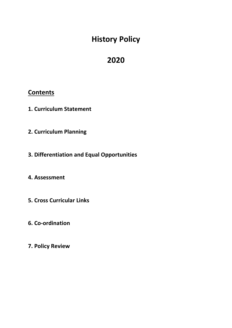# **History Policy**

# **2020**

## **Contents**

- **1. Curriculum Statement**
- **2. Curriculum Planning**
- **3. Differentiation and Equal Opportunities**

## **4. Assessment**

- **5. Cross Curricular Links**
- **6. Co-ordination**
- **7. Policy Review**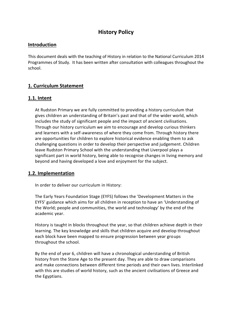### **History Policy**

#### **Introduction**

This document deals with the teaching of History in relation to the National Curriculum 2014 Programmes of Study. It has been written after consultation with colleagues throughout the school.

#### **1. Curriculum Statement**

#### **1.1. Intent**

At Rudston Primary we are fully committed to providing a history curriculum that gives children an understanding of Britain's past and that of the wider world, which includes the study of significant people and the impact of ancient civilisations. Through our history curriculum we aim to encourage and develop curious thinkers and learners with a self-awareness of where they come from. Through history there are opportunities for children to explore historical evidence enabling them to ask challenging questions in order to develop their perspective and judgement. Children leave Rudston Primary School with the understanding that Liverpool plays a significant part in world history, being able to recognise changes in living memory and beyond and having developed a love and enjoyment for the subject.

#### **1.2. Implementation**

In order to deliver our curriculum in History:

The Early Years Foundation Stage (EYFS) follows the 'Development Matters in the EYFS' guidance which aims for all children in reception to have an 'Understanding of the World; people and communities, the world and technology' by the end of the academic year.

History is taught in blocks throughout the year, so that children achieve depth in their learning. The key knowledge and skills that children acquire and develop throughout each block have been mapped to ensure progression between year groups throughout the school.

By the end of year 6, children will have a chronological understanding of British history from the Stone Age to the present day. They are able to draw comparisons and make connections between different time periods and their own lives. Interlinked with this are studies of world history, such as the ancient civilisations of Greece and the Egyptians.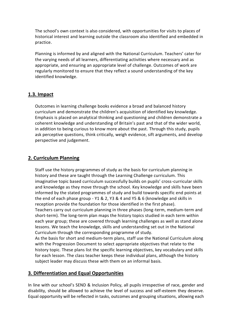The school's own context is also considered, with opportunities for visits to places of historical interest and learning outside the classroom also identified and embedded in practice.

Planning is informed by and aligned with the National Curriculum. Teachers' cater for the varying needs of all learners, differentiating activities where necessary and as appropriate, and ensuring an appropriate level of challenge. Outcomes of work are regularly monitored to ensure that they reflect a sound understanding of the key identified knowledge.

#### **1.3. Impact**

Outcomes in learning challenge books evidence a broad and balanced history curriculum and demonstrate the children's acquisition of identified key knowledge. Emphasis is placed on analytical thinking and questioning and children demonstrate a coherent knowledge and understanding of Britain's past and that of the wider world, in addition to being curious to know more about the past. Through this study, pupils ask perceptive questions, think critically, weigh evidence, sift arguments, and develop perspective and judgement.

#### **2. Curriculum Planning**

Staff use the history programmes of study as the basis for curriculum planning in history and these are taught through the Learning Challenge curriculum. This imaginative topic based curriculum successfully builds on pupils' cross-curricular skills and knowledge as they move through the school. Key knowledge and skills have been informed by the stated programmes of study and build towards specific end points at the end of each phase group - Y1 & 2, Y3 & 4 and Y5 & 6 (knowledge and skills in reception provide the foundation for those identified in the first phase). Teachers carry out curriculum planning in three phases (long-term, medium-term and short-term). The long-term plan maps the history topics studied in each term within each year group; these are covered through learning challenges as well as stand alone lessons. We teach the knowledge, skills and understanding set out in the National Curriculum through the corresponding programme of study.

As the basis for short and medium-term plans, staff use the National Curriculum along with the Progression Document to select appropriate objectives that relate to the history topic. These plans list the specific learning objectives, key vocabulary and skills for each lesson. The class teacher keeps these individual plans, although the history subject leader may discuss these with them on an informal basis.

#### **3. Differentiation and Equal Opportunities**

In line with our school's SEND & Inclusion Policy, all pupils irrespective of race, gender and disability, should be allowed to achieve the level of success and self-esteem they deserve. Equal opportunity will be reflected in tasks, outcomes and grouping situations, allowing each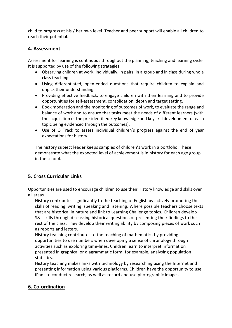child to progress at his / her own level. Teacher and peer support will enable all children to reach their potential.

#### **4. Assessment**

Assessment for learning is continuous throughout the planning, teaching and learning cycle. It is supported by use of the following strategies:

- Observing children at work, individually, in pairs, in a group and in class during whole class teaching.
- Using differentiated, open-ended questions that require children to explain and unpick their understanding.
- Providing effective feedback, to engage children with their learning and to provide opportunities for self-assessment, consolidation, depth and target setting.
- Book moderation and the monitoring of outcomes of work, to evaluate the range and balance of work and to ensure that tasks meet the needs of different learners (with the acquisition of the pre-identified key knowledge and key skill development of each topic being evidenced through the outcomes).
- Use of O Track to assess individual children's progress against the end of year expectations for history.

The history subject leader keeps samples of children's work in a portfolio. These demonstrate what the expected level of achievement is in history for each age group in the school.

### **5. Cross Curricular Links**

Opportunities are used to encourage children to use their History knowledge and skills over all areas.

History contributes significantly to the teaching of English by actively promoting the skills of reading, writing, speaking and listening. Where possible teachers choose texts that are historical in nature and link to Learning Challenge topics. Children develop S&L skills through discussing historical questions or presenting their findings to the rest of the class. They develop their writing ability by composing pieces of work such as reports and letters.

History teaching contributes to the teaching of mathematics by providing opportunities to use numbers when developing a sense of chronology through activities such as exploring time-lines. Children learn to interpret information presented in graphical or diagrammatic form, for example, analysing population statistics.

History teaching makes links with technology by researching using the Internet and presenting information using various platforms. Children have the opportunity to use iPads to conduct research, as well as record and use photographic images.

### **6. Co-ordination**